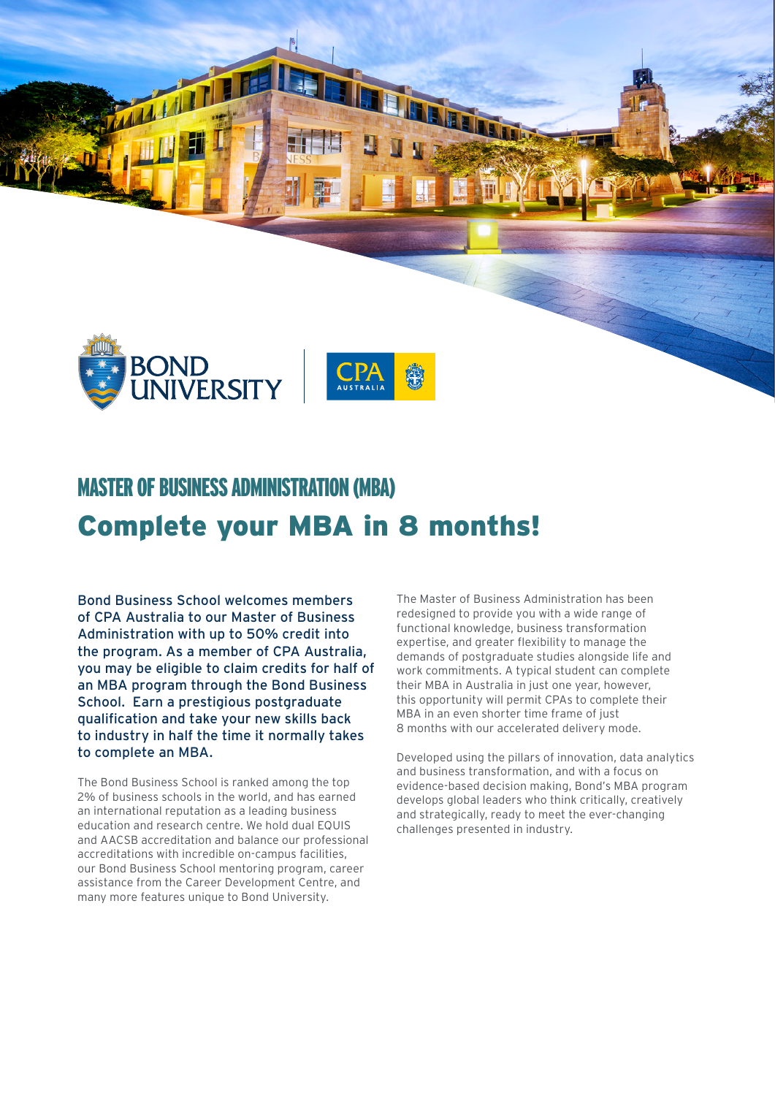



## Complete your MBA in 8 months! MASTER OF BUSINESS ADMINISTRATION (MBA)

Bond Business School welcomes members of CPA Australia to our Master of Business Administration with up to 50% credit into the program. As a member of CPA Australia, you may be eligible to claim credits for half of an MBA program through the Bond Business School. Earn a prestigious postgraduate qualification and take your new skills back to industry in half the time it normally takes to complete an MBA.

The Bond Business School is ranked among the top 2% of business schools in the world, and has earned an international reputation as a leading business education and research centre. We hold dual EQUIS and AACSB accreditation and balance our professional accreditations with incredible on-campus facilities, our Bond Business School mentoring program, career assistance from the Career Development Centre, and many more features unique to Bond University.

The Master of Business Administration has been redesigned to provide you with a wide range of functional knowledge, business transformation expertise, and greater flexibility to manage the demands of postgraduate studies alongside life and work commitments. A typical student can complete their MBA in Australia in just one year, however, this opportunity will permit CPAs to complete their MBA in an even shorter time frame of just 8 months with our accelerated delivery mode.

Developed using the pillars of innovation, data analytics and business transformation, and with a focus on evidence-based decision making, Bond's MBA program develops global leaders who think critically, creatively and strategically, ready to meet the ever-changing challenges presented in industry.